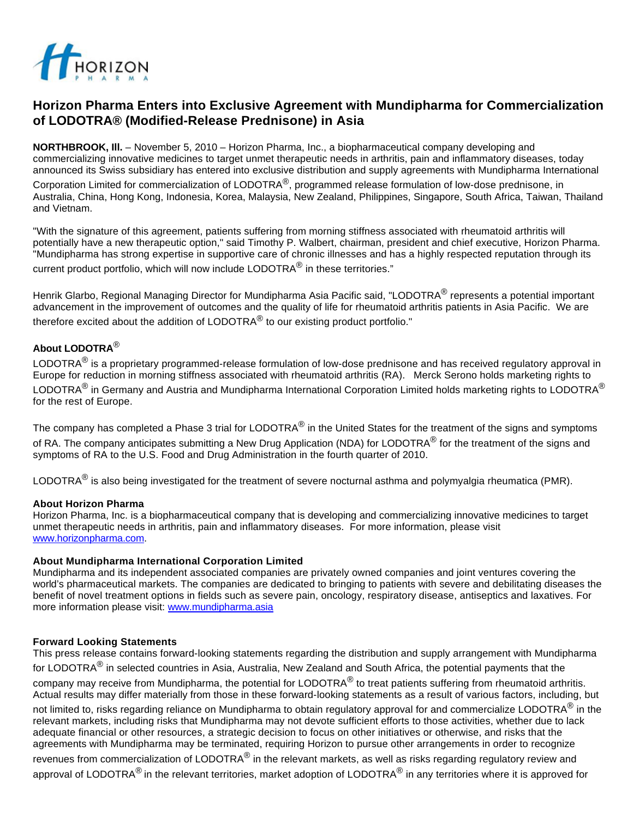

# **Horizon Pharma Enters into Exclusive Agreement with Mundipharma for Commercialization of LODOTRA® (Modified-Release Prednisone) in Asia**

**NORTHBROOK, Ill.** – November 5, 2010 – Horizon Pharma, Inc., a biopharmaceutical company developing and commercializing innovative medicines to target unmet therapeutic needs in arthritis, pain and inflammatory diseases, today announced its Swiss subsidiary has entered into exclusive distribution and supply agreements with Mundipharma International

Corporation Limited for commercialization of LODOTRA $^{\circledR}$ , programmed release formulation of low-dose prednisone, in Australia, China, Hong Kong, Indonesia, Korea, Malaysia, New Zealand, Philippines, Singapore, South Africa, Taiwan, Thailand and Vietnam.

"With the signature of this agreement, patients suffering from morning stiffness associated with rheumatoid arthritis will potentially have a new therapeutic option," said Timothy P. Walbert, chairman, president and chief executive, Horizon Pharma. "Mundipharma has strong expertise in supportive care of chronic illnesses and has a highly respected reputation through its

current product portfolio, which will now include LODOTRA<sup>®</sup> in these territories."

Henrik Glarbo, Regional Managing Director for Mundipharma Asia Pacific said, "LODOTRA<sup>®</sup> represents a potential important advancement in the improvement of outcomes and the quality of life for rheumatoid arthritis patients in Asia Pacific. We are therefore excited about the addition of LODOTRA $^{\circledR}$  to our existing product portfolio."

## **About LODOTRA**®

LODOTRA $^{\circledR}$  is a proprietary programmed-release formulation of low-dose prednisone and has received regulatory approval in Europe for reduction in morning stiffness associated with rheumatoid arthritis (RA). Merck Serono holds marketing rights to LODOTRA<sup>®</sup> in Germany and Austria and Mundipharma International Corporation Limited holds marketing rights to LODOTRA<sup>®</sup> for the rest of Europe.

The company has completed a Phase 3 trial for LODOTRA<sup>®</sup> in the United States for the treatment of the signs and symptoms of RA. The company anticipates submitting a New Drug Application (NDA) for LODOTRA<sup>®</sup> for the treatment of the signs and symptoms of RA to the U.S. Food and Drug Administration in the fourth quarter of 2010.

LODOTRA $^{\circledR}$  is also being investigated for the treatment of severe nocturnal asthma and polymyalgia rheumatica (PMR).

## **About Horizon Pharma**

Horizon Pharma, Inc. is a biopharmaceutical company that is developing and commercializing innovative medicines to target unmet therapeutic needs in arthritis, pain and inflammatory diseases. For more information, please visit [www.horizonpharma.com](http://www.horizonpharma.com/).

## **About Mundipharma International Corporation Limited**

Mundipharma and its independent associated companies are privately owned companies and joint ventures covering the world's pharmaceutical markets. The companies are dedicated to bringing to patients with severe and debilitating diseases the benefit of novel treatment options in fields such as severe pain, oncology, respiratory disease, antiseptics and laxatives. For more information please visit: [www.mundipharma.asia](http://www.mundipharma.asia/)

## **Forward Looking Statements**

This press release contains forward-looking statements regarding the distribution and supply arrangement with Mundipharma for LODOTRA<sup>®</sup> in selected countries in Asia, Australia, New Zealand and South Africa, the potential payments that the company may receive from Mundipharma, the potential for LODOTRA $^{\circledR}$  to treat patients suffering from rheumatoid arthritis. Actual results may differ materially from those in these forward-looking statements as a result of various factors, including, but

not limited to, risks regarding reliance on Mundipharma to obtain regulatory approval for and commercialize LODOTRA<sup>®</sup> in the relevant markets, including risks that Mundipharma may not devote sufficient efforts to those activities, whether due to lack adequate financial or other resources, a strategic decision to focus on other initiatives or otherwise, and risks that the agreements with Mundipharma may be terminated, requiring Horizon to pursue other arrangements in order to recognize revenues from commercialization of LODOTRA<sup>®</sup> in the relevant markets, as well as risks regarding regulatory review and approval of LODOTRA<sup>®</sup> in the relevant territories, market adoption of LODOTRA<sup>®</sup> in any territories where it is approved for